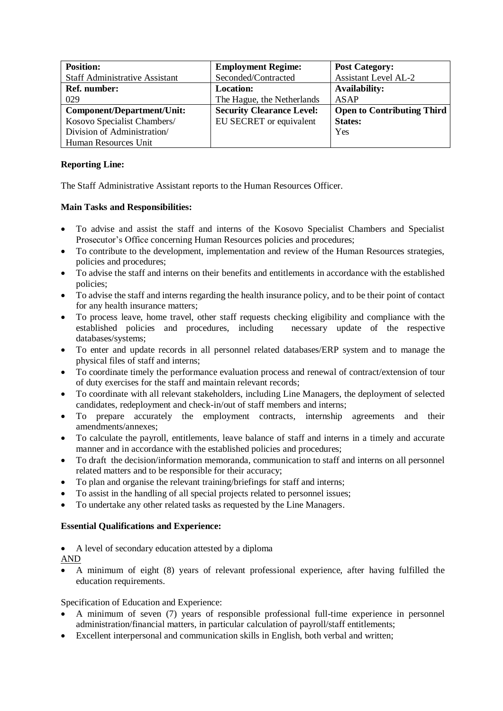| <b>Position:</b>                      | <b>Employment Regime:</b>        | <b>Post Category:</b>             |
|---------------------------------------|----------------------------------|-----------------------------------|
| <b>Staff Administrative Assistant</b> | Seconded/Contracted              | <b>Assistant Level AL-2</b>       |
| <b>Ref. number:</b>                   | <b>Location:</b>                 | <b>Availability:</b>              |
| 029                                   | The Hague, the Netherlands       | <b>ASAP</b>                       |
| <b>Component/Department/Unit:</b>     | <b>Security Clearance Level:</b> | <b>Open to Contributing Third</b> |
| Kosovo Specialist Chambers/           | EU SECRET or equivalent          | <b>States:</b>                    |
| Division of Administration/           |                                  | Yes                               |
| Human Resources Unit                  |                                  |                                   |

## **Reporting Line:**

The Staff Administrative Assistant reports to the Human Resources Officer.

## **Main Tasks and Responsibilities:**

- To advise and assist the staff and interns of the Kosovo Specialist Chambers and Specialist Prosecutor's Office concerning Human Resources policies and procedures;
- To contribute to the development, implementation and review of the Human Resources strategies, policies and procedures;
- To advise the staff and interns on their benefits and entitlements in accordance with the established policies;
- To advise the staff and interns regarding the health insurance policy, and to be their point of contact for any health insurance matters;
- To process leave, home travel, other staff requests checking eligibility and compliance with the established policies and procedures, including necessary update of the respective databases/systems;
- To enter and update records in all personnel related databases/ERP system and to manage the physical files of staff and interns;
- To coordinate timely the performance evaluation process and renewal of contract/extension of tour of duty exercises for the staff and maintain relevant records;
- To coordinate with all relevant stakeholders, including Line Managers, the deployment of selected candidates, redeployment and check-in/out of staff members and interns;
- To prepare accurately the employment contracts, internship agreements and their amendments/annexes;
- To calculate the payroll, entitlements, leave balance of staff and interns in a timely and accurate manner and in accordance with the established policies and procedures;
- To draft the decision/information memoranda, communication to staff and interns on all personnel related matters and to be responsible for their accuracy;
- To plan and organise the relevant training/briefings for staff and interns;
- To assist in the handling of all special projects related to personnel issues;
- To undertake any other related tasks as requested by the Line Managers.

## **Essential Qualifications and Experience:**

• A level of secondary education attested by a diploma

AND

• A minimum of eight (8) years of relevant professional experience, after having fulfilled the education requirements.

Specification of Education and Experience:

- A minimum of seven (7) years of responsible professional full-time experience in personnel administration/financial matters, in particular calculation of payroll/staff entitlements;
- Excellent interpersonal and communication skills in English, both verbal and written;